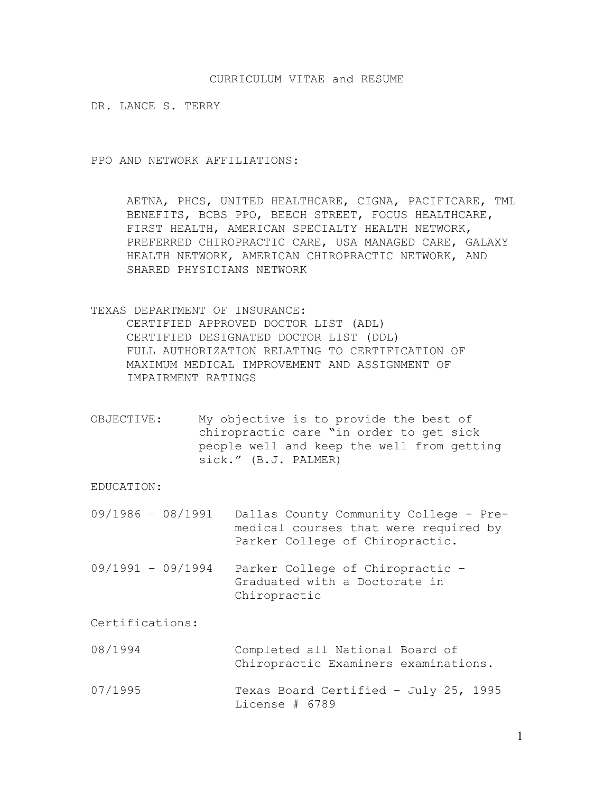## CURRICULUM VITAE and RESUME

DR. LANCE S. TERRY

PPO AND NETWORK AFFILIATIONS:

AETNA, PHCS, UNITED HEALTHCARE, CIGNA, PACIFICARE, TML BENEFITS, BCBS PPO, BEECH STREET, FOCUS HEALTHCARE, FIRST HEALTH, AMERICAN SPECIALTY HEALTH NETWORK, PREFERRED CHIROPRACTIC CARE, USA MANAGED CARE, GALAXY HEALTH NETWORK, AMERICAN CHIROPRACTIC NETWORK, AND SHARED PHYSICIANS NETWORK

TEXAS DEPARTMENT OF INSURANCE: CERTIFIED APPROVED DOCTOR LIST (ADL) CERTIFIED DESIGNATED DOCTOR LIST (DDL) FULL AUTHORIZATION RELATING TO CERTIFICATION OF MAXIMUM MEDICAL IMPROVEMENT AND ASSIGNMENT OF IMPAIRMENT RATINGS

OBJECTIVE: My objective is to provide the best of chiropractic care "in order to get sick people well and keep the well from getting sick." (B.J. PALMER)

EDUCATION:

| 09/1986 - 08/1991  Dallas County Community College - Pre- |
|-----------------------------------------------------------|
| medical courses that were required by                     |
| Parker College of Chiropractic.                           |

09/1991 – 09/1994 Parker College of Chiropractic – Graduated with a Doctorate in Chiropractic

Certifications:

- 08/1994 Completed all National Board of Chiropractic Examiners examinations.
- 07/1995 Texas Board Certified July 25, 1995 License # 6789